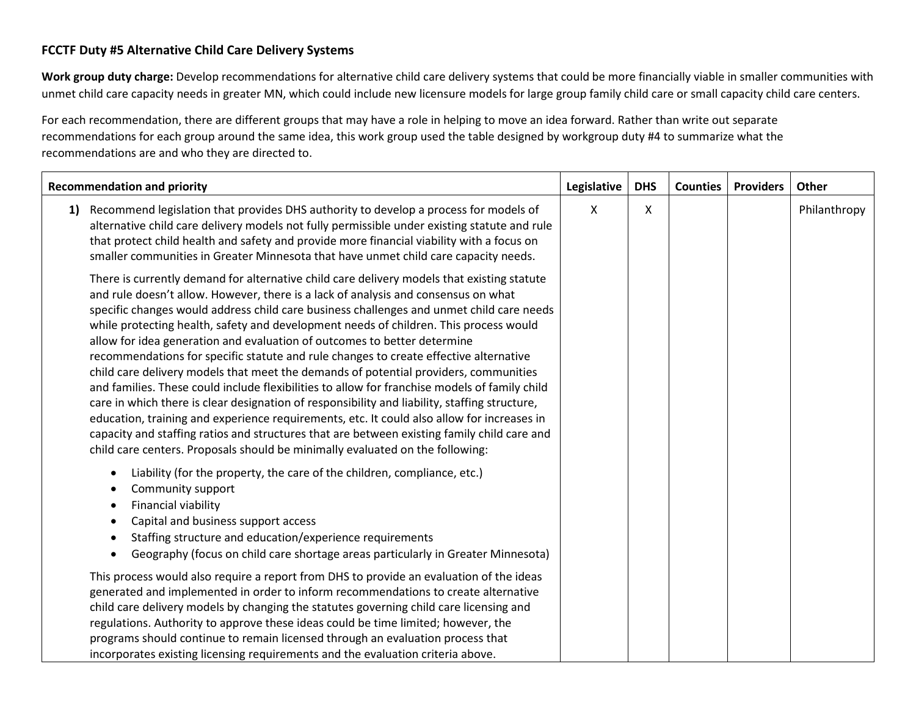## **FCCTF Duty #5 Alternative Child Care Delivery Systems**

**Work group duty charge:** Develop recommendations for alternative child care delivery systems that could be more financially viable in smaller communities with unmet child care capacity needs in greater MN, which could include new licensure models for large group family child care or small capacity child care centers.

For each recommendation, there are different groups that may have a role in helping to move an idea forward. Rather than write out separate recommendations for each group around the same idea, this work group used the table designed by workgroup duty #4 to summarize what the recommendations are and who they are directed to.

|    | <b>Recommendation and priority</b>                                                                                                                                                                                                                                                                                                                                                                                                                                                                                                                                                                                                                                                                                                                                                                                                                                                                                                                                                                                                                                                                                 |   | <b>DHS</b> | <b>Counties</b> | <b>Providers</b> | Other        |
|----|--------------------------------------------------------------------------------------------------------------------------------------------------------------------------------------------------------------------------------------------------------------------------------------------------------------------------------------------------------------------------------------------------------------------------------------------------------------------------------------------------------------------------------------------------------------------------------------------------------------------------------------------------------------------------------------------------------------------------------------------------------------------------------------------------------------------------------------------------------------------------------------------------------------------------------------------------------------------------------------------------------------------------------------------------------------------------------------------------------------------|---|------------|-----------------|------------------|--------------|
| 1) | Recommend legislation that provides DHS authority to develop a process for models of<br>alternative child care delivery models not fully permissible under existing statute and rule<br>that protect child health and safety and provide more financial viability with a focus on<br>smaller communities in Greater Minnesota that have unmet child care capacity needs.                                                                                                                                                                                                                                                                                                                                                                                                                                                                                                                                                                                                                                                                                                                                           | X | X          |                 |                  | Philanthropy |
|    | There is currently demand for alternative child care delivery models that existing statute<br>and rule doesn't allow. However, there is a lack of analysis and consensus on what<br>specific changes would address child care business challenges and unmet child care needs<br>while protecting health, safety and development needs of children. This process would<br>allow for idea generation and evaluation of outcomes to better determine<br>recommendations for specific statute and rule changes to create effective alternative<br>child care delivery models that meet the demands of potential providers, communities<br>and families. These could include flexibilities to allow for franchise models of family child<br>care in which there is clear designation of responsibility and liability, staffing structure,<br>education, training and experience requirements, etc. It could also allow for increases in<br>capacity and staffing ratios and structures that are between existing family child care and<br>child care centers. Proposals should be minimally evaluated on the following: |   |            |                 |                  |              |
|    | Liability (for the property, the care of the children, compliance, etc.)<br>Community support<br>Financial viability<br>Capital and business support access<br>Staffing structure and education/experience requirements<br>Geography (focus on child care shortage areas particularly in Greater Minnesota)                                                                                                                                                                                                                                                                                                                                                                                                                                                                                                                                                                                                                                                                                                                                                                                                        |   |            |                 |                  |              |
|    | This process would also require a report from DHS to provide an evaluation of the ideas<br>generated and implemented in order to inform recommendations to create alternative<br>child care delivery models by changing the statutes governing child care licensing and<br>regulations. Authority to approve these ideas could be time limited; however, the<br>programs should continue to remain licensed through an evaluation process that<br>incorporates existing licensing requirements and the evaluation criteria above.                                                                                                                                                                                                                                                                                                                                                                                                                                                                                                                                                                                  |   |            |                 |                  |              |